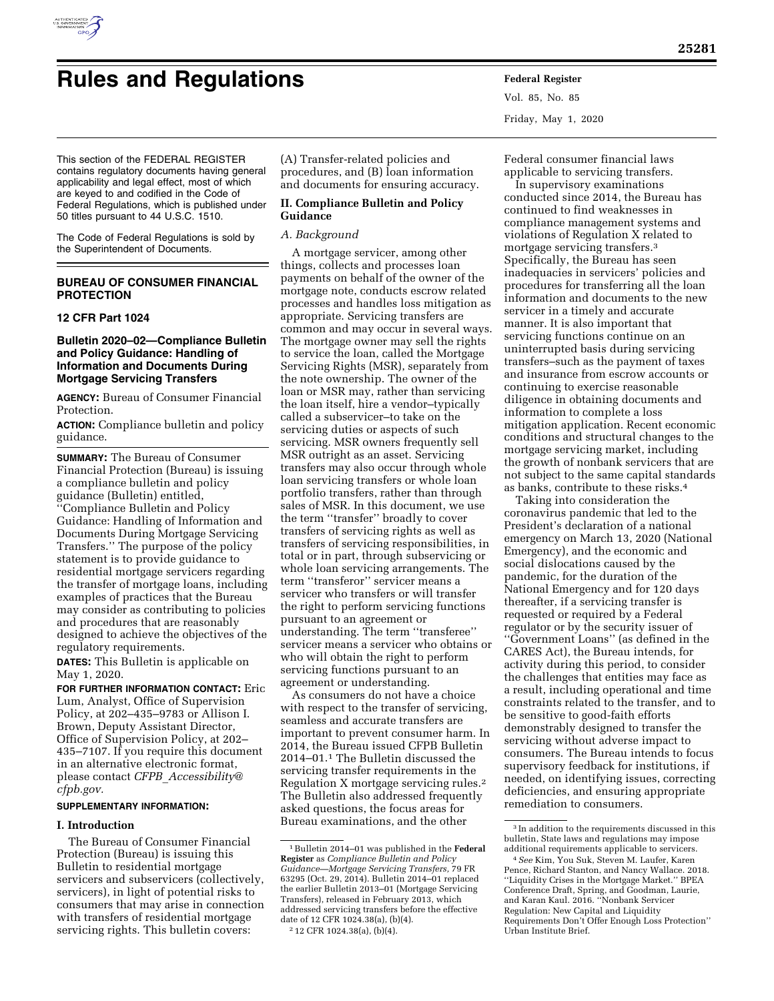

# **Rules and Regulations Federal Register**

Vol. 85, No. 85 Friday, May 1, 2020

This section of the FEDERAL REGISTER contains regulatory documents having general applicability and legal effect, most of which are keyed to and codified in the Code of Federal Regulations, which is published under 50 titles pursuant to 44 U.S.C. 1510.

The Code of Federal Regulations is sold by the Superintendent of Documents.

# **BUREAU OF CONSUMER FINANCIAL PROTECTION**

#### **12 CFR Part 1024**

# **Bulletin 2020–02—Compliance Bulletin and Policy Guidance: Handling of Information and Documents During Mortgage Servicing Transfers**

**AGENCY:** Bureau of Consumer Financial Protection.

**ACTION:** Compliance bulletin and policy guidance.

**SUMMARY:** The Bureau of Consumer Financial Protection (Bureau) is issuing a compliance bulletin and policy guidance (Bulletin) entitled, ''Compliance Bulletin and Policy Guidance: Handling of Information and Documents During Mortgage Servicing Transfers.'' The purpose of the policy statement is to provide guidance to residential mortgage servicers regarding the transfer of mortgage loans, including examples of practices that the Bureau may consider as contributing to policies and procedures that are reasonably designed to achieve the objectives of the regulatory requirements.

**DATES:** This Bulletin is applicable on May 1, 2020.

**FOR FURTHER INFORMATION CONTACT:** Eric Lum, Analyst, Office of Supervision Policy, at 202–435–9783 or Allison I. Brown, Deputy Assistant Director, Office of Supervision Policy, at 202– 435–7107. If you require this document in an alternative electronic format, please contact *CFPB*\_*[Accessibility@](mailto:CFPB_Accessibility@cfpb.gov) [cfpb.gov.](mailto:CFPB_Accessibility@cfpb.gov)* 

#### **SUPPLEMENTARY INFORMATION:**

#### **I. Introduction**

The Bureau of Consumer Financial Protection (Bureau) is issuing this Bulletin to residential mortgage servicers and subservicers (collectively, servicers), in light of potential risks to consumers that may arise in connection with transfers of residential mortgage servicing rights. This bulletin covers:

(A) Transfer-related policies and procedures, and (B) loan information and documents for ensuring accuracy.

# **II. Compliance Bulletin and Policy Guidance**

## *A. Background*

A mortgage servicer, among other things, collects and processes loan payments on behalf of the owner of the mortgage note, conducts escrow related processes and handles loss mitigation as appropriate. Servicing transfers are common and may occur in several ways. The mortgage owner may sell the rights to service the loan, called the Mortgage Servicing Rights (MSR), separately from the note ownership. The owner of the loan or MSR may, rather than servicing the loan itself, hire a vendor–typically called a subservicer–to take on the servicing duties or aspects of such servicing. MSR owners frequently sell MSR outright as an asset. Servicing transfers may also occur through whole loan servicing transfers or whole loan portfolio transfers, rather than through sales of MSR. In this document, we use the term ''transfer'' broadly to cover transfers of servicing rights as well as transfers of servicing responsibilities, in total or in part, through subservicing or whole loan servicing arrangements. The term ''transferor'' servicer means a servicer who transfers or will transfer the right to perform servicing functions pursuant to an agreement or understanding. The term ''transferee'' servicer means a servicer who obtains or who will obtain the right to perform servicing functions pursuant to an agreement or understanding.

As consumers do not have a choice with respect to the transfer of servicing, seamless and accurate transfers are important to prevent consumer harm. In 2014, the Bureau issued CFPB Bulletin 2014–01.1 The Bulletin discussed the servicing transfer requirements in the Regulation X mortgage servicing rules.2 The Bulletin also addressed frequently asked questions, the focus areas for Bureau examinations, and the other

Federal consumer financial laws applicable to servicing transfers.

In supervisory examinations conducted since 2014, the Bureau has continued to find weaknesses in compliance management systems and violations of Regulation X related to mortgage servicing transfers.3 Specifically, the Bureau has seen inadequacies in servicers' policies and procedures for transferring all the loan information and documents to the new servicer in a timely and accurate manner. It is also important that servicing functions continue on an uninterrupted basis during servicing transfers–such as the payment of taxes and insurance from escrow accounts or continuing to exercise reasonable diligence in obtaining documents and information to complete a loss mitigation application. Recent economic conditions and structural changes to the mortgage servicing market, including the growth of nonbank servicers that are not subject to the same capital standards as banks, contribute to these risks.4

Taking into consideration the coronavirus pandemic that led to the President's declaration of a national emergency on March 13, 2020 (National Emergency), and the economic and social dislocations caused by the pandemic, for the duration of the National Emergency and for 120 days thereafter, if a servicing transfer is requested or required by a Federal regulator or by the security issuer of ''Government Loans'' (as defined in the CARES Act), the Bureau intends, for activity during this period, to consider the challenges that entities may face as a result, including operational and time constraints related to the transfer, and to be sensitive to good-faith efforts demonstrably designed to transfer the servicing without adverse impact to consumers. The Bureau intends to focus supervisory feedback for institutions, if needed, on identifying issues, correcting deficiencies, and ensuring appropriate remediation to consumers.

<sup>1</sup>Bulletin 2014–01 was published in the **Federal Register** as *Compliance Bulletin and Policy Guidance—Mortgage Servicing Transfers,* 79 FR 63295 (Oct. 29, 2014). Bulletin 2014–01 replaced the earlier Bulletin 2013–01 (Mortgage Servicing Transfers), released in February 2013, which addressed servicing transfers before the effective date of 12 CFR 1024.38(a), (b)(4). 2 12 CFR 1024.38(a), (b)(4).

<sup>3</sup> In addition to the requirements discussed in this bulletin, State laws and regulations may impose additional requirements applicable to servicers.

<sup>4</sup>*See* Kim, You Suk, Steven M. Laufer, Karen Pence, Richard Stanton, and Nancy Wallace. 2018. ''Liquidity Crises in the Mortgage Market.'' BPEA Conference Draft, Spring, and Goodman, Laurie, and Karan Kaul. 2016. ''Nonbank Servicer Regulation: New Capital and Liquidity Requirements Don't Offer Enough Loss Protection'' Urban Institute Brief.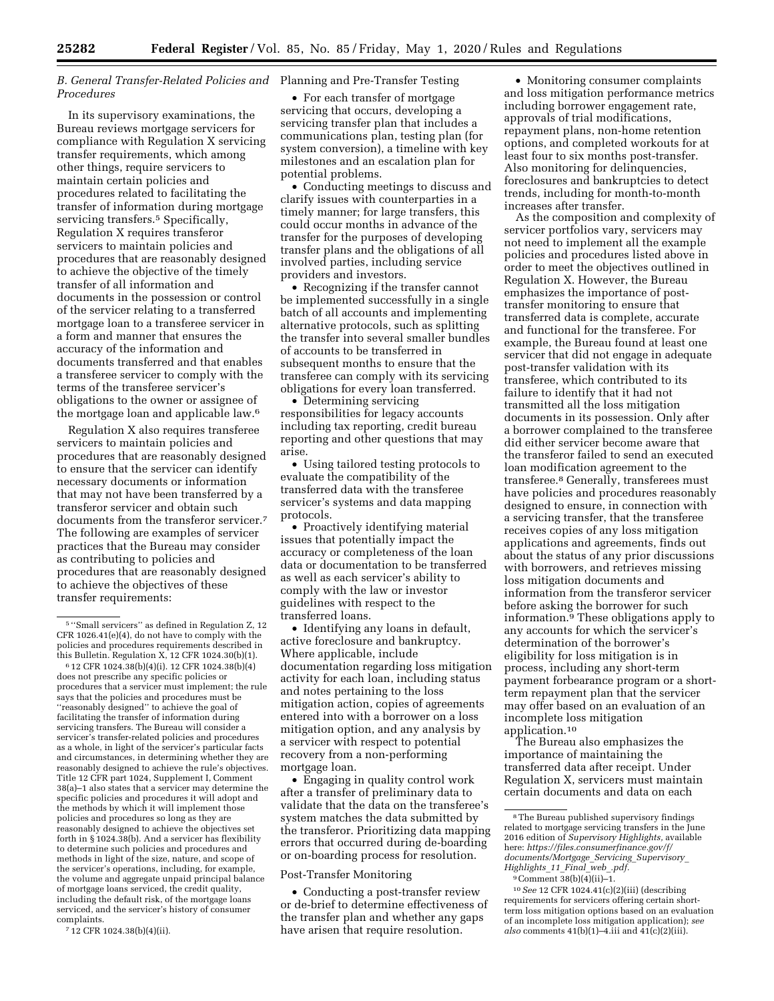#### *B. General Transfer-Related Policies and*  Planning and Pre-Transfer Testing *Procedures*

In its supervisory examinations, the Bureau reviews mortgage servicers for compliance with Regulation X servicing transfer requirements, which among other things, require servicers to maintain certain policies and procedures related to facilitating the transfer of information during mortgage servicing transfers.<sup>5</sup> Specifically, Regulation X requires transferor servicers to maintain policies and procedures that are reasonably designed to achieve the objective of the timely transfer of all information and documents in the possession or control of the servicer relating to a transferred mortgage loan to a transferee servicer in a form and manner that ensures the accuracy of the information and documents transferred and that enables a transferee servicer to comply with the terms of the transferee servicer's obligations to the owner or assignee of the mortgage loan and applicable law.6

Regulation X also requires transferee servicers to maintain policies and procedures that are reasonably designed to ensure that the servicer can identify necessary documents or information that may not have been transferred by a transferor servicer and obtain such documents from the transferor servicer.7 The following are examples of servicer practices that the Bureau may consider as contributing to policies and procedures that are reasonably designed to achieve the objectives of these transfer requirements:

7 12 CFR 1024.38(b)(4)(ii).

• For each transfer of mortgage servicing that occurs, developing a servicing transfer plan that includes a communications plan, testing plan (for system conversion), a timeline with key milestones and an escalation plan for potential problems.

• Conducting meetings to discuss and clarify issues with counterparties in a timely manner; for large transfers, this could occur months in advance of the transfer for the purposes of developing transfer plans and the obligations of all involved parties, including service providers and investors.

• Recognizing if the transfer cannot be implemented successfully in a single batch of all accounts and implementing alternative protocols, such as splitting the transfer into several smaller bundles of accounts to be transferred in subsequent months to ensure that the transferee can comply with its servicing obligations for every loan transferred.

• Determining servicing responsibilities for legacy accounts including tax reporting, credit bureau reporting and other questions that may arise.

• Using tailored testing protocols to evaluate the compatibility of the transferred data with the transferee servicer's systems and data mapping protocols.

• Proactively identifying material issues that potentially impact the accuracy or completeness of the loan data or documentation to be transferred as well as each servicer's ability to comply with the law or investor guidelines with respect to the transferred loans.

• Identifying any loans in default, active foreclosure and bankruptcy. Where applicable, include documentation regarding loss mitigation activity for each loan, including status and notes pertaining to the loss mitigation action, copies of agreements entered into with a borrower on a loss mitigation option, and any analysis by a servicer with respect to potential recovery from a non-performing mortgage loan.

• Engaging in quality control work after a transfer of preliminary data to validate that the data on the transferee's system matches the data submitted by the transferor. Prioritizing data mapping errors that occurred during de-boarding or on-boarding process for resolution.

#### Post-Transfer Monitoring

• Conducting a post-transfer review or de-brief to determine effectiveness of the transfer plan and whether any gaps have arisen that require resolution.

• Monitoring consumer complaints and loss mitigation performance metrics including borrower engagement rate, approvals of trial modifications, repayment plans, non-home retention options, and completed workouts for at least four to six months post-transfer. Also monitoring for delinquencies, foreclosures and bankruptcies to detect trends, including for month-to-month increases after transfer.

As the composition and complexity of servicer portfolios vary, servicers may not need to implement all the example policies and procedures listed above in order to meet the objectives outlined in Regulation X. However, the Bureau emphasizes the importance of posttransfer monitoring to ensure that transferred data is complete, accurate and functional for the transferee. For example, the Bureau found at least one servicer that did not engage in adequate post-transfer validation with its transferee, which contributed to its failure to identify that it had not transmitted all the loss mitigation documents in its possession. Only after a borrower complained to the transferee did either servicer become aware that the transferor failed to send an executed loan modification agreement to the transferee.8 Generally, transferees must have policies and procedures reasonably designed to ensure, in connection with a servicing transfer, that the transferee receives copies of any loss mitigation applications and agreements, finds out about the status of any prior discussions with borrowers, and retrieves missing loss mitigation documents and information from the transferor servicer before asking the borrower for such information.<sup>9</sup> These obligations apply to any accounts for which the servicer's determination of the borrower's eligibility for loss mitigation is in process, including any short-term payment forbearance program or a shortterm repayment plan that the servicer may offer based on an evaluation of an incomplete loss mitigation application.10

The Bureau also emphasizes the importance of maintaining the transferred data after receipt. Under Regulation X, servicers must maintain certain documents and data on each

<sup>5</sup> ''Small servicers'' as defined in Regulation Z, 12 CFR 1026.41(e)(4), do not have to comply with the policies and procedures requirements described in this Bulletin. Regulation X, 12 CFR 1024.30(b)(1).

<sup>6</sup> 12 CFR 1024.38(b)(4)(i). 12 CFR 1024.38(b)(4) does not prescribe any specific policies or procedures that a servicer must implement; the rule says that the policies and procedures must be ''reasonably designed'' to achieve the goal of facilitating the transfer of information during servicing transfers. The Bureau will consider a servicer's transfer-related policies and procedures as a whole, in light of the servicer's particular facts and circumstances, in determining whether they are reasonably designed to achieve the rule's objectives. Title 12 CFR part 1024, Supplement I, Comment 38(a)–1 also states that a servicer may determine the specific policies and procedures it will adopt and the methods by which it will implement those policies and procedures so long as they are reasonably designed to achieve the objectives set forth in § 1024.38(b). And a servicer has flexibility to determine such policies and procedures and methods in light of the size, nature, and scope of the servicer's operations, including, for example, the volume and aggregate unpaid principal balance of mortgage loans serviced, the credit quality, including the default risk, of the mortgage loans serviced, and the servicer's history of consumer complaints.

<sup>8</sup>The Bureau published supervisory findings related to mortgage servicing transfers in the June 2016 edition of *Supervisory Highlights,* available here: *[https://files.consumerfinance.gov/f/](https://files.consumerfinance.gov/f/documents/Mortgage_Servicing_Supervisory_Highlights_11_Final_web_.pdf) [documents/Mortgage](https://files.consumerfinance.gov/f/documents/Mortgage_Servicing_Supervisory_Highlights_11_Final_web_.pdf)*\_*Servicing*\_*Supervisory*\_ *[Highlights](https://files.consumerfinance.gov/f/documents/Mortgage_Servicing_Supervisory_Highlights_11_Final_web_.pdf)*\_*11*\_*Final*\_*web*\_*.pdf.* 

<sup>9</sup>Comment 38(b)(4)(ii)–1.

<sup>10</sup>*See* 12 CFR 1024.41(c)(2)(iii) (describing requirements for servicers offering certain shortterm loss mitigation options based on an evaluation of an incomplete loss mitigation application); *see*   $also$  comments  $41(b)(1)-4$ .iii and  $41(c)(2)(iii)$ .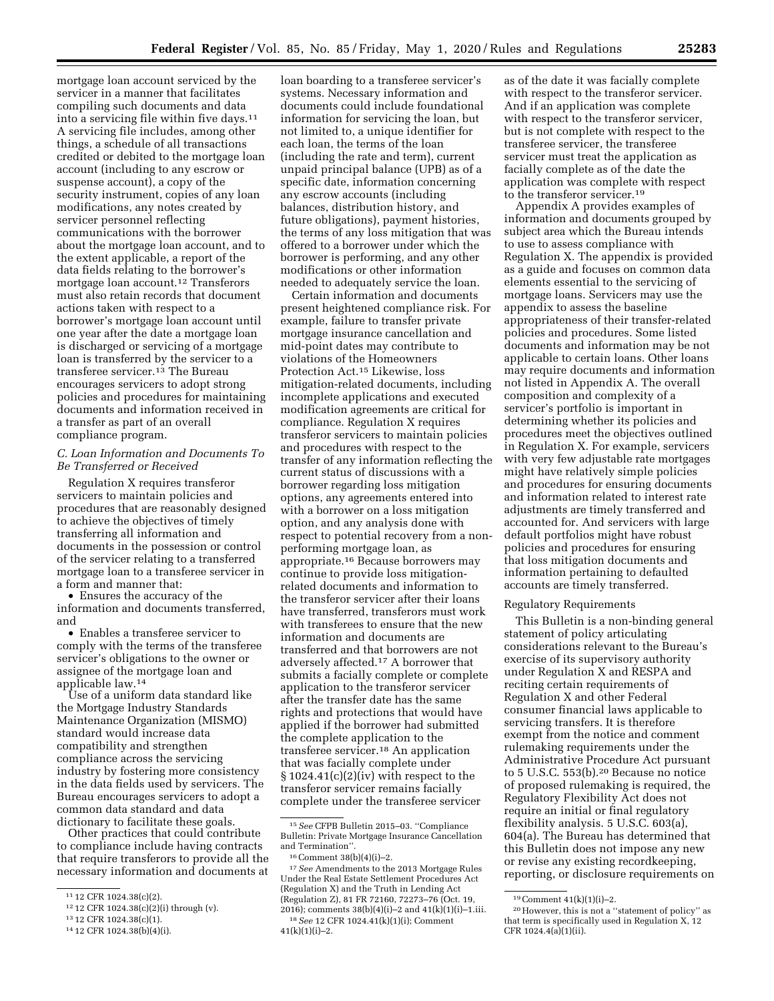mortgage loan account serviced by the servicer in a manner that facilitates compiling such documents and data into a servicing file within five days.11 A servicing file includes, among other things, a schedule of all transactions credited or debited to the mortgage loan account (including to any escrow or suspense account), a copy of the security instrument, copies of any loan modifications, any notes created by servicer personnel reflecting communications with the borrower about the mortgage loan account, and to the extent applicable, a report of the data fields relating to the borrower's mortgage loan account.12 Transferors must also retain records that document actions taken with respect to a borrower's mortgage loan account until one year after the date a mortgage loan is discharged or servicing of a mortgage loan is transferred by the servicer to a transferee servicer.13 The Bureau encourages servicers to adopt strong policies and procedures for maintaining documents and information received in a transfer as part of an overall

# *C. Loan Information and Documents To Be Transferred or Received*

compliance program.

Regulation X requires transferor servicers to maintain policies and procedures that are reasonably designed to achieve the objectives of timely transferring all information and documents in the possession or control of the servicer relating to a transferred mortgage loan to a transferee servicer in a form and manner that:

• Ensures the accuracy of the information and documents transferred, and

• Enables a transferee servicer to comply with the terms of the transferee servicer's obligations to the owner or assignee of the mortgage loan and applicable law.14

Use of a uniform data standard like the Mortgage Industry Standards Maintenance Organization (MISMO) standard would increase data compatibility and strengthen compliance across the servicing industry by fostering more consistency in the data fields used by servicers. The Bureau encourages servicers to adopt a common data standard and data dictionary to facilitate these goals.

Other practices that could contribute to compliance include having contracts that require transferors to provide all the necessary information and documents at

loan boarding to a transferee servicer's systems. Necessary information and documents could include foundational information for servicing the loan, but not limited to, a unique identifier for each loan, the terms of the loan (including the rate and term), current unpaid principal balance (UPB) as of a specific date, information concerning any escrow accounts (including balances, distribution history, and future obligations), payment histories, the terms of any loss mitigation that was offered to a borrower under which the borrower is performing, and any other modifications or other information needed to adequately service the loan.

Certain information and documents present heightened compliance risk. For example, failure to transfer private mortgage insurance cancellation and mid-point dates may contribute to violations of the Homeowners Protection Act.15 Likewise, loss mitigation-related documents, including incomplete applications and executed modification agreements are critical for compliance. Regulation X requires transferor servicers to maintain policies and procedures with respect to the transfer of any information reflecting the current status of discussions with a borrower regarding loss mitigation options, any agreements entered into with a borrower on a loss mitigation option, and any analysis done with respect to potential recovery from a nonperforming mortgage loan, as appropriate.16 Because borrowers may continue to provide loss mitigationrelated documents and information to the transferor servicer after their loans have transferred, transferors must work with transferees to ensure that the new information and documents are transferred and that borrowers are not adversely affected.17 A borrower that submits a facially complete or complete application to the transferor servicer after the transfer date has the same rights and protections that would have applied if the borrower had submitted the complete application to the transferee servicer.18 An application that was facially complete under  $§ 1024.41(c)(2)(iv)$  with respect to the transferor servicer remains facially complete under the transferee servicer

17*See* Amendments to the 2013 Mortgage Rules Under the Real Estate Settlement Procedures Act (Regulation X) and the Truth in Lending Act (Regulation Z), 81 FR 72160, 72273–76 (Oct. 19, 2016); comments 38(b)(4)(i)–2 and 41(k)(1)(i)–1.iii. 18*See* 12 CFR 1024.41(k)(1)(i); Comment  $41(k)(1)(i)-2.$ 

as of the date it was facially complete with respect to the transferor servicer. And if an application was complete with respect to the transferor servicer, but is not complete with respect to the transferee servicer, the transferee servicer must treat the application as facially complete as of the date the application was complete with respect to the transferor servicer.19

Appendix A provides examples of information and documents grouped by subject area which the Bureau intends to use to assess compliance with Regulation X. The appendix is provided as a guide and focuses on common data elements essential to the servicing of mortgage loans. Servicers may use the appendix to assess the baseline appropriateness of their transfer-related policies and procedures. Some listed documents and information may be not applicable to certain loans. Other loans may require documents and information not listed in Appendix A. The overall composition and complexity of a servicer's portfolio is important in determining whether its policies and procedures meet the objectives outlined in Regulation X. For example, servicers with very few adjustable rate mortgages might have relatively simple policies and procedures for ensuring documents and information related to interest rate adjustments are timely transferred and accounted for. And servicers with large default portfolios might have robust policies and procedures for ensuring that loss mitigation documents and information pertaining to defaulted accounts are timely transferred.

#### Regulatory Requirements

This Bulletin is a non-binding general statement of policy articulating considerations relevant to the Bureau's exercise of its supervisory authority under Regulation X and RESPA and reciting certain requirements of Regulation X and other Federal consumer financial laws applicable to servicing transfers. It is therefore exempt from the notice and comment rulemaking requirements under the Administrative Procedure Act pursuant to 5 U.S.C. 553(b).20 Because no notice of proposed rulemaking is required, the Regulatory Flexibility Act does not require an initial or final regulatory flexibility analysis. 5 U.S.C. 603(a), 604(a). The Bureau has determined that this Bulletin does not impose any new or revise any existing recordkeeping, reporting, or disclosure requirements on

<sup>11</sup> 12 CFR 1024.38(c)(2).

<sup>12</sup> 12 CFR 1024.38(c)(2)(i) through (v).

<sup>13</sup> 12 CFR 1024.38(c)(1).

<sup>14</sup> 12 CFR 1024.38(b)(4)(i).

<sup>15</sup>*See* CFPB Bulletin 2015–03. ''Compliance Bulletin: Private Mortgage Insurance Cancellation and Termination''.

<sup>16</sup>Comment 38(b)(4)(i)–2.

<sup>19</sup>Comment 41(k)(1)(i)–2.

<sup>20</sup>However, this is not a ''statement of policy'' as that term is specifically used in Regulation X, 12 CFR 1024.4(a)(1)(ii).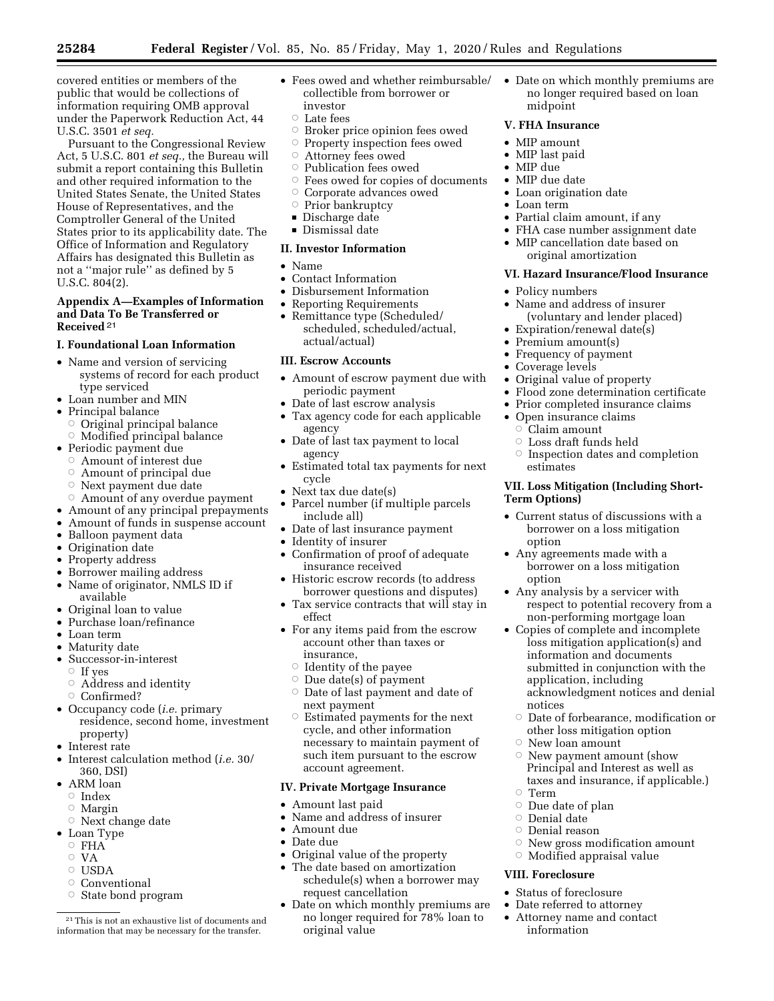covered entities or members of the public that would be collections of information requiring OMB approval under the Paperwork Reduction Act, 44 U.S.C. 3501 *et seq.* 

Pursuant to the Congressional Review Act, 5 U.S.C. 801 *et seq.,* the Bureau will submit a report containing this Bulletin and other required information to the United States Senate, the United States House of Representatives, and the Comptroller General of the United States prior to its applicability date. The Office of Information and Regulatory Affairs has designated this Bulletin as not a ''major rule'' as defined by 5 U.S.C. 804(2).

# **Appendix A—Examples of Information and Data To Be Transferred or Received** <sup>21</sup>

# **I. Foundational Loan Information**

- Name and version of servicing systems of record for each product type serviced
- Loan number and MIN
- Principal balance
- $\circ$  Original principal balance
- $\circ$  Modified principal balance
- Periodic payment due
	- ÆAmount of interest due
	- ÆAmount of principal due
	- $\circ$  Next payment due date
- $\circ$  Amount of any overdue payment
- Amount of any principal prepayments
- Amount of funds in suspense account
- Balloon payment data
- Origination date
- Property address
- Borrower mailing address • Name of originator, NMLS ID if
- available
- Original loan to value
- Purchase loan/refinance
- Loan term
- Maturity date
- Successor-in-interest
- Æ If yes
- $\circ$  Address and identity
- Æ Confirmed?
- Occupancy code (*i.e.* primary residence, second home, investment property)
- Interest rate
- Interest calculation method (*i.e.* 30/ 360, DSI)
- ARM loan
	- $\circ$  Index
	- **Margin**
	- $\circ$  Next change date
- Loan Type
	- $\circ$  FHA $\check{ }$
	- $\circ$  VA
	- $\circ$  USDA
	- $\circ$  Conventional
	- Æ State bond program
- Fees owed and whether reimbursable/ collectible from borrower or investor
	- $\circ$  Late fees
	- $\circ$  Broker price opinion fees owed
	- Æ Property inspection fees owed
- Æ Attorney fees owed
- $\circ$  Publication fees owed
- ÆFees owed for copies of documents
- ÆCorporate advances owed
- Æ Prior bankruptcy
- $\blacksquare$  Discharge date
- $\blacksquare$  Dismissal date

# **II. Investor Information**

- Name
- Contact Information
- Disbursement Information
- Reporting Requirements
- Remittance type (Scheduled/ scheduled, scheduled/actual, actual/actual)

# **III. Escrow Accounts**

- Amount of escrow payment due with periodic payment
- Date of last escrow analysis
- Tax agency code for each applicable agency
- Date of last tax payment to local agency
- Estimated total tax payments for next cycle
- Next tax due date(s)
- Parcel number (if multiple parcels include all)
- Date of last insurance payment
- Identity of insurer
- Confirmation of proof of adequate insurance received
- Historic escrow records (to address borrower questions and disputes)
- Tax service contracts that will stay in effect
- For any items paid from the escrow account other than taxes or insurance,
	- $\circ$  Identity of the payee
	- $\circ$  Due date(s) of payment
	- $\circ$  Date of last payment and date of next payment
	- $\circ$  Estimated payments for the next cycle, and other information necessary to maintain payment of such item pursuant to the escrow account agreement.

# **IV. Private Mortgage Insurance**

- Amount last paid
- Name and address of insurer
- Amount due
- Date due
- Original value of the property
- The date based on amortization schedule(s) when a borrower may request cancellation
- Date on which monthly premiums are no longer required for 78% loan to original value

• Date on which monthly premiums are no longer required based on loan midpoint

# **V. FHA Insurance**

- MIP amount
- MIP last paid
- MIP due
- MIP due date
- Loan origination date
- Loan term

• Policy numbers

- Partial claim amount, if any
- FHA case number assignment date
- MIP cancellation date based on original amortization

• Name and address of insurer (voluntary and lender placed)

• Expiration/renewal date(s) • Premium amount(s) • Frequency of payment • Coverage levels

• Original value of property

• Open insurance claims  $\circ$  Claim amount  $\circ\,$  Loss draft funds held

estimates

**Term Options)** 

option

option

notices

 $\circ$  Term

**VIII. Foreclosure**  • Status of foreclosure • Date referred to attorney • Attorney name and contact

information

# **VI. Hazard Insurance/Flood Insurance**

• Flood zone determination certificate • Prior completed insurance claims

 $\circ$  Inspection dates and completion

**VII. Loss Mitigation (Including Short-**

• Current status of discussions with a borrower on a loss mitigation

• Any agreements made with a borrower on a loss mitigation

• Any analysis by a servicer with

application, including

Æ New loan amount

 $\circ$  Due date of plan  $\circ$  Denial date  $\circ\,$  Denial reason

respect to potential recovery from a non-performing mortgage loan • Copies of complete and incomplete loss mitigation application(s) and information and documents submitted in conjunction with the

acknowledgment notices and denial

 $\circ$  Date of forbearance, modification or other loss mitigation option

 $\circ$  New payment amount (show Principal and Interest as well as taxes and insurance, if applicable.)

 $\circ$  New gross modification amount  $\circ$  Modified appraisal value

<sup>21</sup>This is not an exhaustive list of documents and information that may be necessary for the transfer.